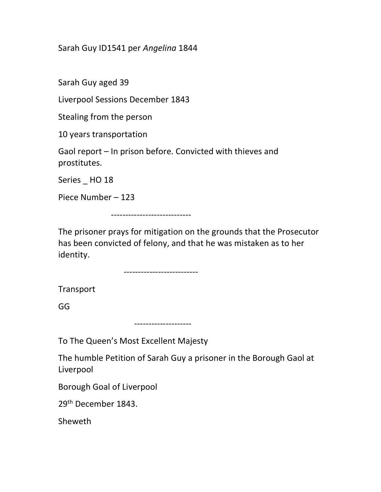Sarah Guy ID1541 per Angelina 1844

Sarah Guy aged 39

Liverpool Sessions December 1843

Stealing from the person

10 years transportation

Gaol report – In prison before. Convicted with thieves and prostitutes.

Series \_ HO 18

Piece Number – 123

----------------------------

The prisoner prays for mitigation on the grounds that the Prosecutor has been convicted of felony, and that he was mistaken as to her identity.

--------------------------

Transport

GG

--------------------

To The Queen's Most Excellent Majesty

The humble Petition of Sarah Guy a prisoner in the Borough Gaol at Liverpool

Borough Goal of Liverpool

29th December 1843.

Sheweth